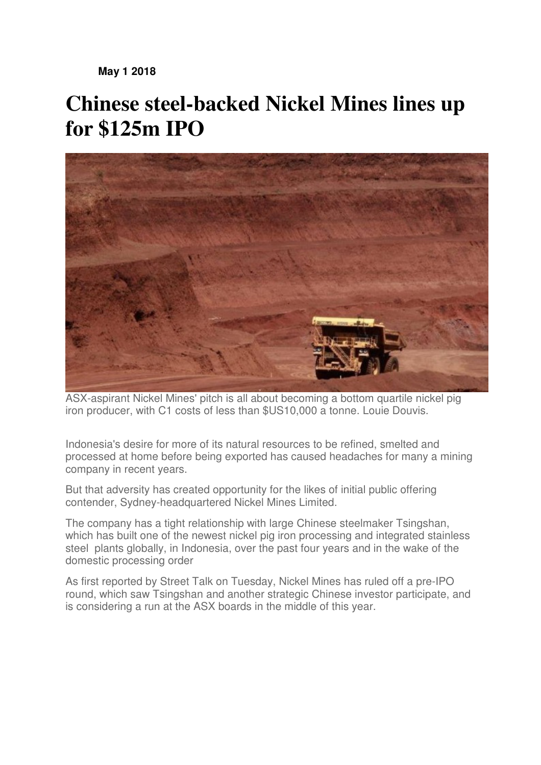**May 1 2018** 

## **Chinese steel-backed Nickel Mines lines up for \$125m IPO**



ASX-aspirant Nickel Mines' pitch is all about becoming a bottom quartile nickel pig iron producer, with C1 costs of less than \$US10,000 a tonne. Louie Douvis.

Indonesia's desire for more of its natural resources to be refined, smelted and processed at home before being exported has caused headaches for many a mining company in recent years.

But that adversity has created opportunity for the likes of initial public offering contender, Sydney-headquartered Nickel Mines Limited.

The company has a tight relationship with large Chinese steelmaker Tsingshan, which has built one of the newest nickel pig iron processing and integrated stainless steel plants globally, in Indonesia, over the past four years and in the wake of the domestic processing order

As first reported by Street Talk on Tuesday, Nickel Mines has ruled off a pre-IPO round, which saw Tsingshan and another strategic Chinese investor participate, and is considering a run at the ASX boards in the middle of this year.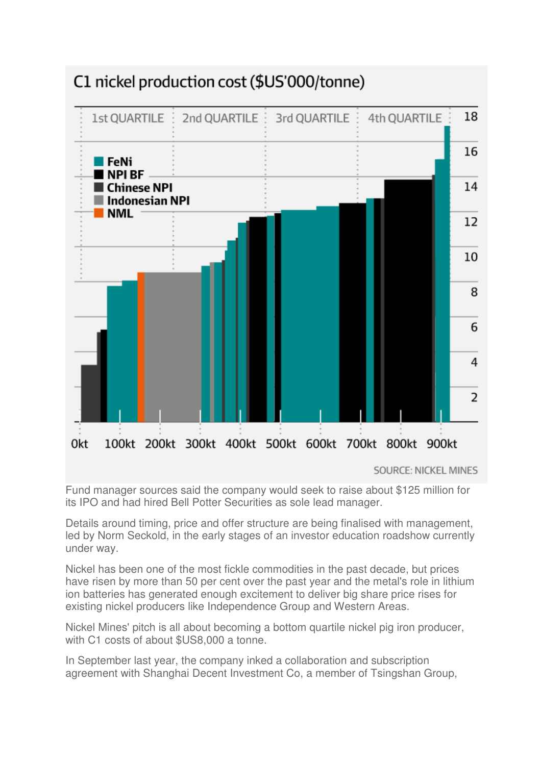

## C1 nickel production cost (\$US'000/tonne)

**SOURCE: NICKEL MINES** 

Fund manager sources said the company would seek to raise about \$125 million for its IPO and had hired Bell Potter Securities as sole lead manager.

Details around timing, price and offer structure are being finalised with management, led by Norm Seckold, in the early stages of an investor education roadshow currently under way.

Nickel has been one of the most fickle commodities in the past decade, but prices have risen by more than 50 per cent over the past year and the metal's role in lithium ion batteries has generated enough excitement to deliver big share price rises for existing nickel producers like Independence Group and Western Areas.

Nickel Mines' pitch is all about becoming a bottom quartile nickel pig iron producer, with C1 costs of about \$US8,000 a tonne.

In September last year, the company inked a collaboration and subscription agreement with Shanghai Decent Investment Co, a member of Tsingshan Group,